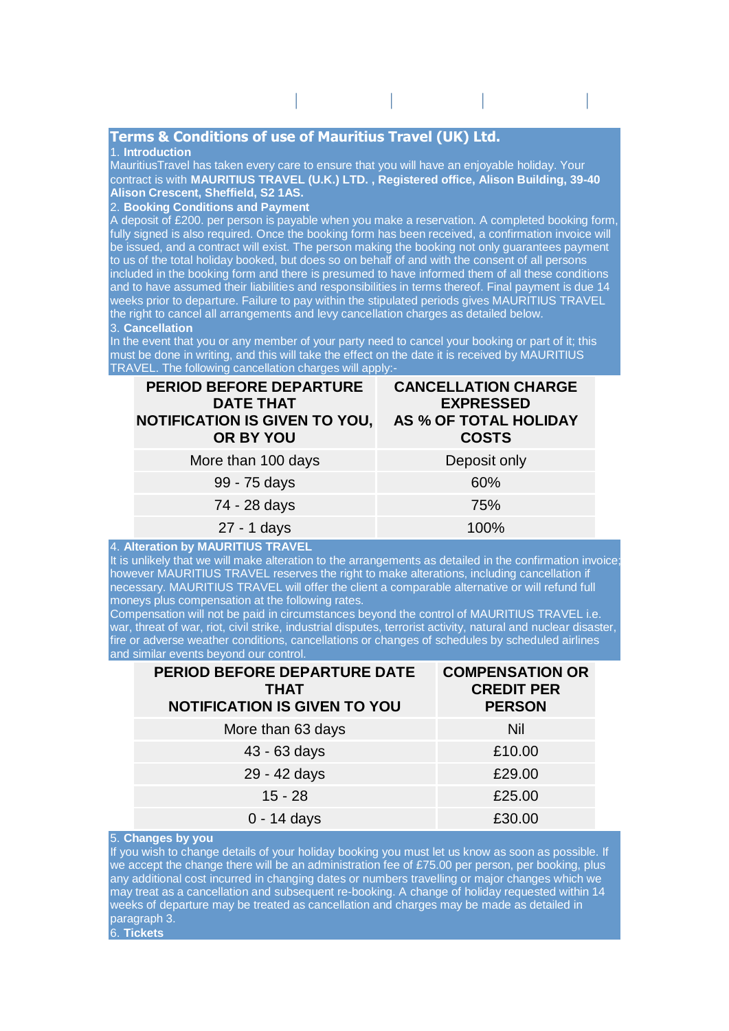# **Terms & Conditions of use of Mauritius Travel (UK) Ltd.**

#### 1. **Introduction**

MauritiusTravel has taken every care to ensure that you will have an enjoyable holiday. Your contract is with **MAURITIUS TRAVEL (U.K.) LTD. , Registered office, Alison Building, 39-40 Alison Crescent, Sheffield, S2 1AS.** 

holiday destinations | **[mauritius](http://mauritravel.co.uk/destination.php?id=1)** | **[maldives](http://mauritravel.co.uk/destination.php?id=3)** | **[seychelles](http://mauritravel.co.uk/destination.php?id=2)** | **[sri](http://mauritravel.co.uk/destination.php?id=5)** 

## 2. **Booking Conditions and Payment**

A deposit of £200. per person is payable when you make a reservation. A completed booking form, fully signed is also required. Once the booking form has been received, a confirmation invoice will be issued, and a contract will exist. The person making the booking not only guarantees payment to us of the total holiday booked, but does so on behalf of and with the consent of all persons included in the booking form and there is presumed to have informed them of all these conditions and to have assumed their liabilities and responsibilities in terms thereof. Final payment is due 14 weeks prior to departure. Failure to pay within the stipulated periods gives MAURITIUS TRAVEL the right to cancel all arrangements and levy cancellation charges as detailed below.

## 3. **Cancellation**

In the event that you or any member of your party need to cancel your booking or part of it; this must be done in writing, and this will take the effect on the date it is received by MAURITIUS TRAVEL. The following cancellation charges will apply:-

| <b>PERIOD BEFORE DEPARTURE</b><br><b>DATE THAT</b><br><b>NOTIFICATION IS GIVEN TO YOU,</b><br>OR BY YOU | <b>CANCELLATION CHARGE</b><br><b>EXPRESSED</b><br>AS % OF TOTAL HOLIDAY<br><b>COSTS</b> |
|---------------------------------------------------------------------------------------------------------|-----------------------------------------------------------------------------------------|
| More than 100 days                                                                                      | Deposit only                                                                            |
| 99 - 75 days                                                                                            | 60%                                                                                     |
| 74 - 28 days                                                                                            | 75%                                                                                     |
| 27 - 1 days                                                                                             | 100%                                                                                    |

#### 4. **Alteration by MAURITIUS TRAVEL**

It is unlikely that we will make alteration to the arrangements as detailed in the confirmation invoice however MAURITIUS TRAVEL reserves the right to make alterations, including cancellation if necessary. MAURITIUS TRAVEL will offer the client a comparable alternative or will refund full moneys plus compensation at the following rates.

Compensation will not be paid in circumstances beyond the control of MAURITIUS TRAVEL i.e. war, threat of war, riot, civil strike, industrial disputes, terrorist activity, natural and nuclear disaster, fire or adverse weather conditions, cancellations or changes of schedules by scheduled airlines and similar events beyond our control.

| <b>PERIOD BEFORE DEPARTURE DATE</b><br>THAT<br><b>NOTIFICATION IS GIVEN TO YOU</b> | <b>COMPENSATION OR</b><br><b>CREDIT PER</b><br><b>PERSON</b> |
|------------------------------------------------------------------------------------|--------------------------------------------------------------|
| More than 63 days                                                                  | Nil                                                          |
| 43 - 63 days                                                                       | £10.00                                                       |
| 29 - 42 days                                                                       | £29.00                                                       |
| $15 - 28$                                                                          | £25.00                                                       |
| $0 - 14$ days                                                                      | £30.00                                                       |

#### 5. **Changes by you**

If you wish to change details of your holiday booking you must let us know as soon as possible. If we accept the change there will be an administration fee of £75.00 per person, per booking, plus any additional cost incurred in changing dates or numbers travelling or major changes which we may treat as a cancellation and subsequent re-booking. A change of holiday requested within 14 weeks of departure may be treated as cancellation and charges may be made as detailed in paragraph 3. 6. **Tickets**